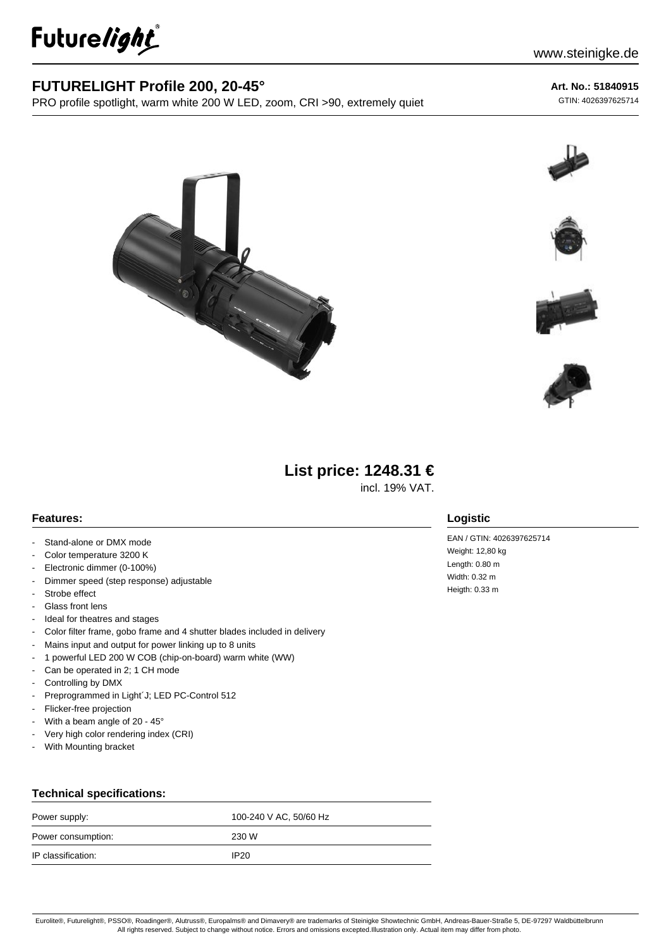

## **FUTURELIGHT Profile 200, 20-45°**

PRO profile spotlight, warm white 200 W LED, zoom, CRI >90, extremely quiet

# **Art. No.: 51840915**

GTIN: 4026397625714











# **List price: 1248.31 €**

incl. 19% VAT.

### **Features:**

- Stand-alone or DMX mode
- Color temperature 3200 K
- Electronic dimmer (0-100%)
- Dimmer speed (step response) adjustable
- Strobe effect
- Glass front lens
- Ideal for theatres and stages
- Color filter frame, gobo frame and 4 shutter blades included in delivery
- Mains input and output for power linking up to 8 units
- 1 powerful LED 200 W COB (chip-on-board) warm white (WW)
- Can be operated in 2; 1 CH mode
- Controlling by DMX
- Preprogrammed in Light'J; LED PC-Control 512
- Flicker-free projection
- With a beam angle of  $20 45^\circ$
- Very high color rendering index (CRI)
- With Mounting bracket

#### **Technical specifications:**

| Power supply:      | 100-240 V AC, 50/60 Hz |
|--------------------|------------------------|
| Power consumption: | 230 W                  |
| IP classification: | IP <sub>20</sub>       |

### **Logistic**

EAN / GTIN: 4026397625714 Weight: 12,80 kg Length: 0.80 m Width: 0.32 m Heigth: 0.33 m

Eurolite®, Futurelight®, PSSO®, Roadinger®, Alutruss®, Europalms® and Dimavery® are trademarks of Steinigke Showtechnic GmbH, Andreas-Bauer-Straße 5, DE-97297 Waldbüttelbrunn All rights reserved. Subject to change without notice. Errors and omissions excepted.Illustration only. Actual item may differ from photo.